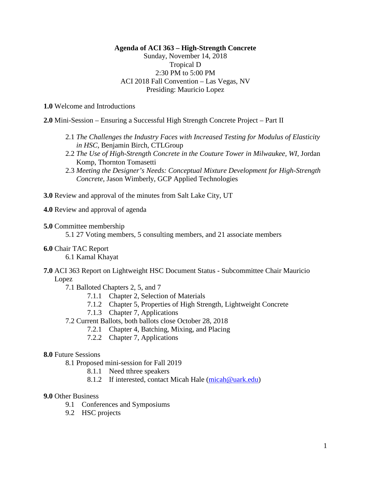# **Agenda of ACI 363 – High-Strength Concrete**

# Sunday, November 14, 2018 Tropical D 2:30 PM to 5:00 PM ACI 2018 Fall Convention – Las Vegas, NV Presiding: Mauricio Lopez

**1.0** Welcome and Introductions

**2.0** Mini-Session – Ensuring a Successful High Strength Concrete Project – Part II

- 2.1 *The Challenges the Industry Faces with Increased Testing for Modulus of Elasticity in HSC,* Benjamin Birch, CTLGroup
- 2.2 *The Use of High-Strength Concrete in the Couture Tower in Milwaukee, WI*, Jordan Komp, Thornton Tomasetti
- 2.3 *Meeting the Designer's Needs: Conceptual Mixture Development for High-Strength Concrete,* Jason Wimberly, GCP Applied Technologies

**3.0** Review and approval of the minutes from Salt Lake City, UT

**4.0** Review and approval of agenda

#### **5.0** Committee membership

5.1 27 Voting members, 5 consulting members, and 21 associate members

**6.0** Chair TAC Report

6.1 Kamal Khayat

**7.0** ACI 363 Report on Lightweight HSC Document Status - Subcommittee Chair Mauricio Lopez

7.1 Balloted Chapters 2, 5, and 7

- 7.1.1 Chapter 2, Selection of Materials
- 7.1.2 Chapter 5, Properties of High Strength, Lightweight Concrete
- 7.1.3 Chapter 7, Applications
- 7.2 Current Ballots, both ballots close October 28, 2018
	- 7.2.1 Chapter 4, Batching, Mixing, and Placing
	- 7.2.2 Chapter 7, Applications

### **8.0** Future Sessions

- 8.1 Proposed mini-session for Fall 2019
	- 8.1.1 Need tthree speakers
	- 8.1.2 If interested, contact Micah Hale [\(micah@uark.edu\)](mailto:micah@uark.edu)

## **9.0** Other Business

- 9.1 Conferences and Symposiums
- 9.2 HSC projects